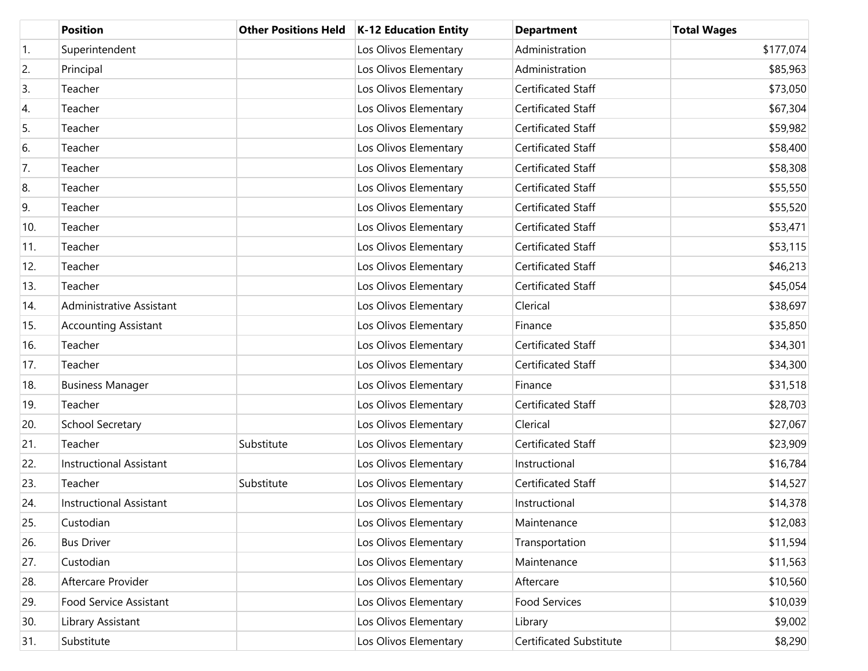|     | <b>Position</b>                 | <b>Other Positions Held</b> | <b>K-12 Education Entity</b> | <b>Department</b>         | <b>Total Wages</b> |
|-----|---------------------------------|-----------------------------|------------------------------|---------------------------|--------------------|
| 1.  | Superintendent                  |                             | Los Olivos Elementary        | Administration            | \$177,074          |
| 2.  | Principal                       |                             | Los Olivos Elementary        | Administration            | \$85,963           |
| 3.  | Teacher                         |                             | Los Olivos Elementary        | Certificated Staff        | \$73,050           |
| 4.  | Teacher                         |                             | Los Olivos Elementary        | Certificated Staff        | \$67,304           |
| 5.  | Teacher                         |                             | Los Olivos Elementary        | Certificated Staff        | \$59,982           |
| 6.  | Teacher                         |                             | Los Olivos Elementary        | <b>Certificated Staff</b> | \$58,400           |
| 7.  | Teacher                         |                             | Los Olivos Elementary        | Certificated Staff        | \$58,308           |
| 8.  | Teacher                         |                             | Los Olivos Elementary        | Certificated Staff        | \$55,550           |
| 9.  | Teacher                         |                             | Los Olivos Elementary        | Certificated Staff        | \$55,520           |
| 10. | Teacher                         |                             | Los Olivos Elementary        | Certificated Staff        | \$53,471           |
| 11. | Teacher                         |                             | Los Olivos Elementary        | Certificated Staff        | \$53,115           |
| 12. | Teacher                         |                             | Los Olivos Elementary        | Certificated Staff        | \$46,213           |
| 13. | Teacher                         |                             | Los Olivos Elementary        | Certificated Staff        | \$45,054           |
| 14. | <b>Administrative Assistant</b> |                             | Los Olivos Elementary        | Clerical                  | \$38,697           |
| 15. | <b>Accounting Assistant</b>     |                             | Los Olivos Elementary        | Finance                   | \$35,850           |
| 16. | Teacher                         |                             | Los Olivos Elementary        | Certificated Staff        | \$34,301           |
| 17. | Teacher                         |                             | Los Olivos Elementary        | Certificated Staff        | \$34,300           |
| 18. | <b>Business Manager</b>         |                             | Los Olivos Elementary        | Finance                   | \$31,518           |
| 19. | Teacher                         |                             | Los Olivos Elementary        | Certificated Staff        | \$28,703           |
| 20. | School Secretary                |                             | Los Olivos Elementary        | Clerical                  | \$27,067           |
| 21. | Teacher                         | Substitute                  | Los Olivos Elementary        | Certificated Staff        | \$23,909           |
| 22. | Instructional Assistant         |                             | Los Olivos Elementary        | Instructional             | \$16,784           |
| 23. | Teacher                         | Substitute                  | Los Olivos Elementary        | Certificated Staff        | \$14,527           |
| 24. | <b>Instructional Assistant</b>  |                             | Los Olivos Elementary        | Instructional             | \$14,378           |
| 25. | Custodian                       |                             | Los Olivos Elementary        | Maintenance               | \$12,083           |
| 26. | <b>Bus Driver</b>               |                             | Los Olivos Elementary        | Transportation            | \$11,594           |
| 27. | Custodian                       |                             | Los Olivos Elementary        | Maintenance               | \$11,563           |
| 28. | Aftercare Provider              |                             | Los Olivos Elementary        | Aftercare                 | \$10,560           |
| 29. | Food Service Assistant          |                             | Los Olivos Elementary        | Food Services             | \$10,039           |
| 30. | Library Assistant               |                             | Los Olivos Elementary        | Library                   | \$9,002            |
| 31. | Substitute                      |                             | Los Olivos Elementary        | Certificated Substitute   | \$8,290            |